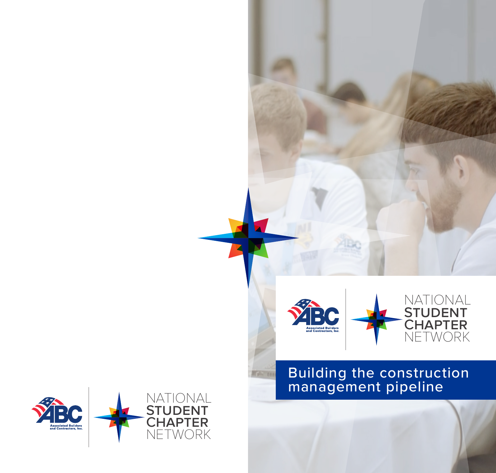

NATIONAL

STUDENT AND A

CHAPTER AND

NETWORK

NATION

STUDENT

## Building the construction management pipeline